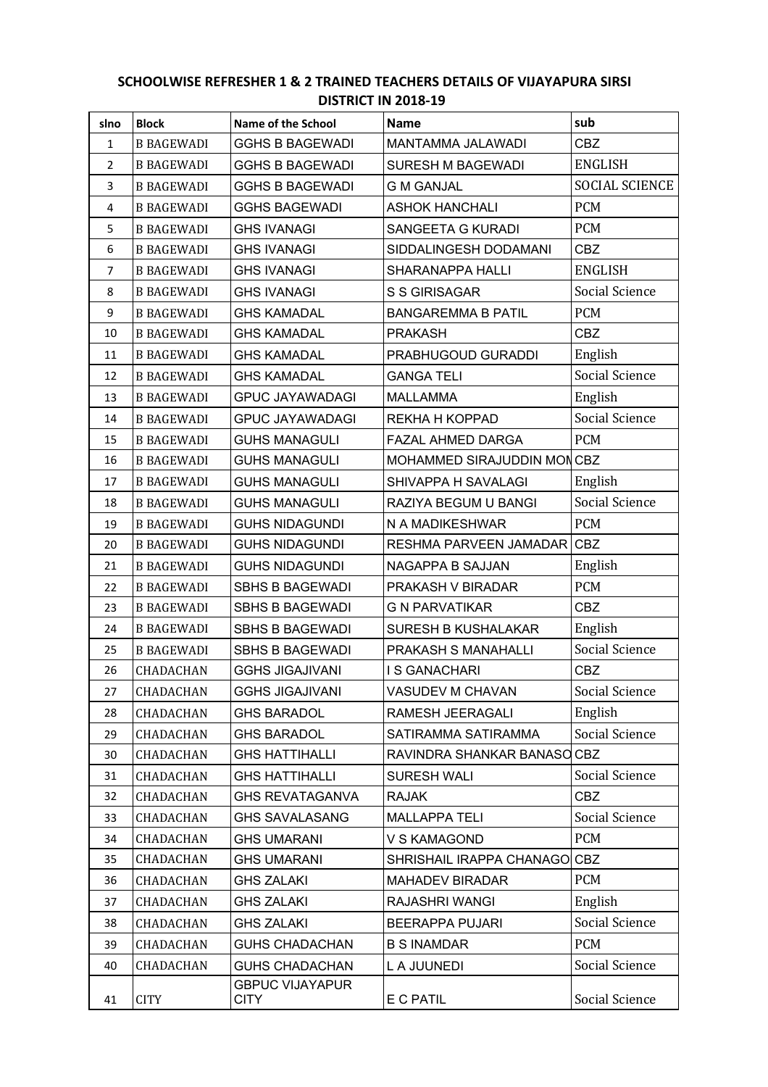## **SCHOOLWISE REFRESHER 1 & 2 TRAINED TEACHERS DETAILS OF VIJAYAPURA SIRSI DISTRICT IN 2018-19**

| slno           | <b>Block</b>      | Name of the School                    | <b>Name</b>                | sub                   |
|----------------|-------------------|---------------------------------------|----------------------------|-----------------------|
| $\mathbf{1}$   | <b>B BAGEWADI</b> | <b>GGHS B BAGEWADI</b>                | MANTAMMA JALAWADI          | <b>CBZ</b>            |
| $\overline{2}$ | <b>B BAGEWADI</b> | <b>GGHS B BAGEWADI</b>                | <b>SURESH M BAGEWADI</b>   | <b>ENGLISH</b>        |
| 3              | <b>B BAGEWADI</b> | <b>GGHS B BAGEWADI</b>                | <b>G M GANJAL</b>          | <b>SOCIAL SCIENCE</b> |
| 4              | <b>B BAGEWADI</b> | <b>GGHS BAGEWADI</b>                  | <b>ASHOK HANCHALI</b>      | <b>PCM</b>            |
| 5              | <b>B BAGEWADI</b> | <b>GHS IVANAGI</b>                    | SANGEETA G KURADI          | <b>PCM</b>            |
| 6              | <b>B BAGEWADI</b> | <b>GHS IVANAGI</b>                    | SIDDALINGESH DODAMANI      | <b>CBZ</b>            |
| $\overline{7}$ | <b>B BAGEWADI</b> | <b>GHS IVANAGI</b>                    | SHARANAPPA HALLI           | <b>ENGLISH</b>        |
| 8              | <b>B BAGEWADI</b> | <b>GHS IVANAGI</b>                    | <b>S S GIRISAGAR</b>       | Social Science        |
| 9              | <b>B BAGEWADI</b> | <b>GHS KAMADAL</b>                    | <b>BANGAREMMA B PATIL</b>  | <b>PCM</b>            |
| 10             | <b>B BAGEWADI</b> | <b>GHS KAMADAL</b>                    | <b>PRAKASH</b>             | <b>CBZ</b>            |
| 11             | <b>B BAGEWADI</b> | <b>GHS KAMADAL</b>                    | PRABHUGOUD GURADDI         | English               |
| 12             | <b>B BAGEWADI</b> | <b>GHS KAMADAL</b>                    | <b>GANGA TELI</b>          | Social Science        |
| 13             | <b>B BAGEWADI</b> | <b>GPUC JAYAWADAGI</b>                | <b>MALLAMMA</b>            | English               |
| 14             | <b>B BAGEWADI</b> | <b>GPUC JAYAWADAGI</b>                | REKHA H KOPPAD             | Social Science        |
| 15             | <b>B BAGEWADI</b> | <b>GUHS MANAGULI</b>                  | FAZAL AHMED DARGA          | <b>PCM</b>            |
| 16             | <b>B BAGEWADI</b> | <b>GUHS MANAGULI</b>                  | MOHAMMED SIRAJUDDIN MONCBZ |                       |
| 17             | <b>B BAGEWADI</b> | <b>GUHS MANAGULI</b>                  | SHIVAPPA H SAVALAGI        | English               |
| 18             | <b>B BAGEWADI</b> | <b>GUHS MANAGULI</b>                  | RAZIYA BEGUM U BANGI       | Social Science        |
| 19             | <b>B BAGEWADI</b> | <b>GUHS NIDAGUNDI</b>                 | N A MADIKESHWAR            | <b>PCM</b>            |
| 20             | <b>B BAGEWADI</b> | <b>GUHS NIDAGUNDI</b>                 | RESHMA PARVEEN JAMADAR     | <b>CBZ</b>            |
| 21             | <b>B BAGEWADI</b> | <b>GUHS NIDAGUNDI</b>                 | NAGAPPA B SAJJAN           | English               |
| 22             | <b>B BAGEWADI</b> | <b>SBHS B BAGEWADI</b>                | PRAKASH V BIRADAR          | <b>PCM</b>            |
| 23             | <b>B BAGEWADI</b> | <b>SBHS B BAGEWADI</b>                | <b>G N PARVATIKAR</b>      | <b>CBZ</b>            |
| 24             | <b>B BAGEWADI</b> | <b>SBHS B BAGEWADI</b>                | <b>SURESH B KUSHALAKAR</b> | English               |
| 25             | <b>B BAGEWADI</b> | <b>SBHS B BAGEWADI</b>                | PRAKASH S MANAHALLI        | Social Science        |
| 26             | CHADACHAN         | <b>GGHS JIGAJIVANI</b>                | I S GANACHARI              | <b>CBZ</b>            |
| 27             | CHADACHAN         | <b>GGHS JIGAJIVANI</b>                | VASUDEV M CHAVAN           | Social Science        |
| 28             | CHADACHAN         | <b>GHS BARADOL</b>                    | RAMESH JEERAGALI           | English               |
| 29             | CHADACHAN         | <b>GHS BARADOL</b>                    | SATIRAMMA SATIRAMMA        | Social Science        |
| 30             | CHADACHAN         | <b>GHS HATTIHALLI</b>                 | RAVINDRA SHANKAR BANASO    | <b>CBZ</b>            |
| 31             | CHADACHAN         | <b>GHS HATTIHALLI</b>                 | SURESH WALI                | Social Science        |
| 32             | CHADACHAN         | <b>GHS REVATAGANVA</b>                | <b>RAJAK</b>               | <b>CBZ</b>            |
| 33             | CHADACHAN         | <b>GHS SAVALASANG</b>                 | <b>MALLAPPA TELI</b>       | Social Science        |
| 34             | CHADACHAN         | <b>GHS UMARANI</b>                    | V S KAMAGOND               | <b>PCM</b>            |
| 35             | CHADACHAN         | <b>GHS UMARANI</b>                    | SHRISHAIL IRAPPA CHANAGO   | <b>CBZ</b>            |
| 36             | CHADACHAN         | <b>GHS ZALAKI</b>                     | <b>MAHADEV BIRADAR</b>     | <b>PCM</b>            |
| 37             | CHADACHAN         | <b>GHS ZALAKI</b>                     | RAJASHRI WANGI             | English               |
| 38             | CHADACHAN         | <b>GHS ZALAKI</b>                     | <b>BEERAPPA PUJARI</b>     | Social Science        |
| 39             | CHADACHAN         | <b>GUHS CHADACHAN</b>                 | <b>B S INAMDAR</b>         | <b>PCM</b>            |
| 40             | CHADACHAN         | <b>GUHS CHADACHAN</b>                 | L A JUUNEDI                | Social Science        |
| 41             | <b>CITY</b>       | <b>GBPUC VIJAYAPUR</b><br><b>CITY</b> | E C PATIL                  | Social Science        |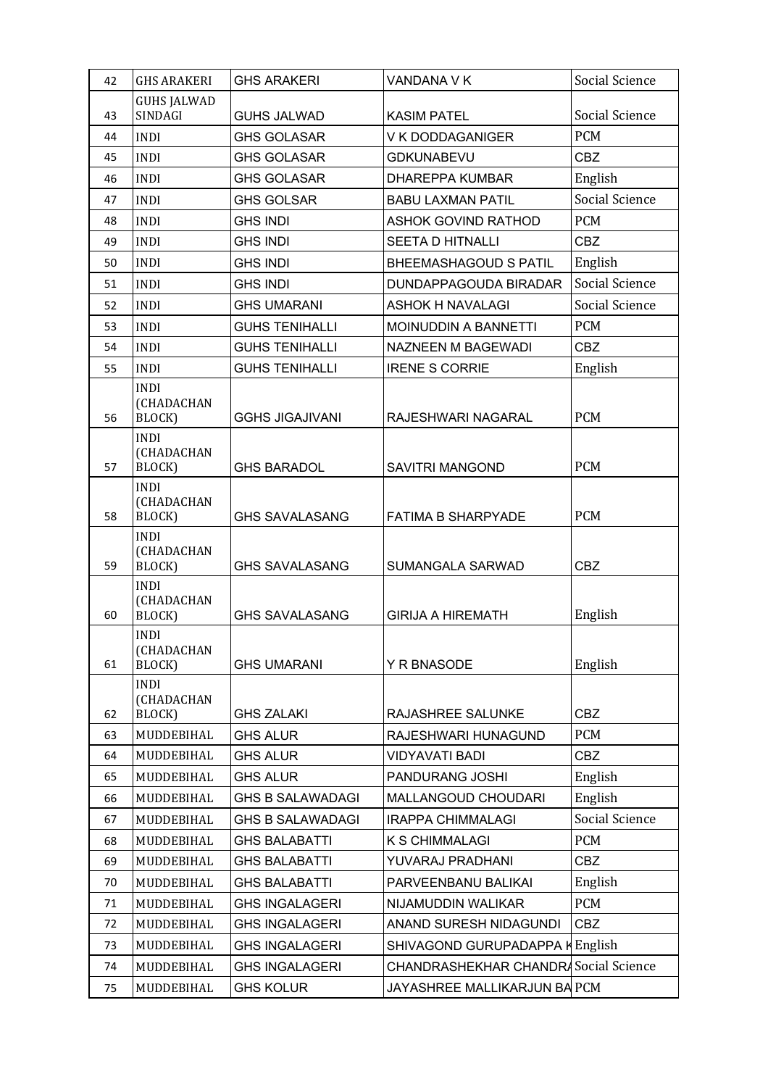| 42 | <b>GHS ARAKERI</b>                         | <b>GHS ARAKERI</b>      | VANDANA V K                          | Social Science |
|----|--------------------------------------------|-------------------------|--------------------------------------|----------------|
| 43 | <b>GUHS JALWAD</b><br>SINDAGI              | <b>GUHS JALWAD</b>      | <b>KASIM PATEL</b>                   | Social Science |
| 44 | <b>INDI</b>                                | <b>GHS GOLASAR</b>      | V K DODDAGANIGER                     | <b>PCM</b>     |
| 45 | <b>INDI</b>                                | <b>GHS GOLASAR</b>      | <b>GDKUNABEVU</b>                    | CBZ            |
| 46 | <b>INDI</b>                                | <b>GHS GOLASAR</b>      | <b>DHAREPPA KUMBAR</b>               | English        |
| 47 | <b>INDI</b>                                | <b>GHS GOLSAR</b>       | <b>BABU LAXMAN PATIL</b>             | Social Science |
| 48 | <b>INDI</b>                                | <b>GHS INDI</b>         | <b>ASHOK GOVIND RATHOD</b>           | <b>PCM</b>     |
| 49 | <b>INDI</b>                                | <b>GHS INDI</b>         | SEETA D HITNALLI                     | <b>CBZ</b>     |
| 50 | <b>INDI</b>                                | <b>GHS INDI</b>         | BHEEMASHAGOUD S PATIL                | English        |
| 51 | <b>INDI</b>                                | <b>GHS INDI</b>         | DUNDAPPAGOUDA BIRADAR                | Social Science |
| 52 | <b>INDI</b>                                | <b>GHS UMARANI</b>      | <b>ASHOK H NAVALAGI</b>              | Social Science |
| 53 | <b>INDI</b>                                | <b>GUHS TENIHALLI</b>   | MOINUDDIN A BANNETTI                 | <b>PCM</b>     |
| 54 | <b>INDI</b>                                | <b>GUHS TENIHALLI</b>   | NAZNEEN M BAGEWADI                   | <b>CBZ</b>     |
| 55 | <b>INDI</b>                                | <b>GUHS TENIHALLI</b>   | <b>IRENE S CORRIE</b>                | English        |
| 56 | <b>INDI</b><br><b>(CHADACHAN</b><br>BLOCK) | <b>GGHS JIGAJIVANI</b>  | RAJESHWARI NAGARAL                   | <b>PCM</b>     |
| 57 | <b>INDI</b><br>(CHADACHAN<br>BLOCK)        | <b>GHS BARADOL</b>      | <b>SAVITRI MANGOND</b>               | <b>PCM</b>     |
| 58 | <b>INDI</b><br>(CHADACHAN<br>BLOCK)        | <b>GHS SAVALASANG</b>   | <b>FATIMA B SHARPYADE</b>            | <b>PCM</b>     |
| 59 | <b>INDI</b><br>(CHADACHAN<br>BLOCK)        | <b>GHS SAVALASANG</b>   | SUMANGALA SARWAD                     | CBZ            |
| 60 | <b>INDI</b><br>(CHADACHAN<br>BLOCK)        | <b>GHS SAVALASANG</b>   | <b>GIRIJA A HIREMATH</b>             | English        |
| 61 | <b>INDI</b><br>(CHADACHAN<br>BLOCK)        | <b>GHS UMARANI</b>      | Y R BNASODE                          | English        |
| 62 | <b>INDI</b><br>(CHADACHAN<br>BLOCK)        | <b>GHS ZALAKI</b>       | RAJASHREE SALUNKE                    | CBZ            |
| 63 | MUDDEBIHAL                                 | <b>GHS ALUR</b>         | RAJESHWARI HUNAGUND                  | PCM            |
| 64 | MUDDEBIHAL                                 | <b>GHS ALUR</b>         | <b>VIDYAVATI BADI</b>                | <b>CBZ</b>     |
| 65 | MUDDEBIHAL                                 | <b>GHS ALUR</b>         | PANDURANG JOSHI                      | English        |
| 66 | MUDDEBIHAL                                 | <b>GHS B SALAWADAGI</b> | MALLANGOUD CHOUDARI                  | English        |
| 67 | MUDDEBIHAL                                 | <b>GHS B SALAWADAGI</b> | <b>IRAPPA CHIMMALAGI</b>             | Social Science |
| 68 | MUDDEBIHAL                                 | <b>GHS BALABATTI</b>    | K S CHIMMALAGI                       | <b>PCM</b>     |
| 69 | MUDDEBIHAL                                 | <b>GHS BALABATTI</b>    | YUVARAJ PRADHANI                     | <b>CBZ</b>     |
| 70 | MUDDEBIHAL                                 | <b>GHS BALABATTI</b>    | PARVEENBANU BALIKAI                  | English        |
| 71 | MUDDEBIHAL                                 | <b>GHS INGALAGERI</b>   | NIJAMUDDIN WALIKAR                   | <b>PCM</b>     |
| 72 | MUDDEBIHAL                                 | <b>GHS INGALAGERI</b>   | ANAND SURESH NIDAGUNDI               | <b>CBZ</b>     |
| 73 | MUDDEBIHAL                                 | <b>GHS INGALAGERI</b>   | SHIVAGOND GURUPADAPPA H              | English        |
| 74 | MUDDEBIHAL                                 | <b>GHS INGALAGERI</b>   | CHANDRASHEKHAR CHANDR Social Science |                |
| 75 | MUDDEBIHAL                                 | <b>GHS KOLUR</b>        | JAYASHREE MALLIKARJUN BA PCM         |                |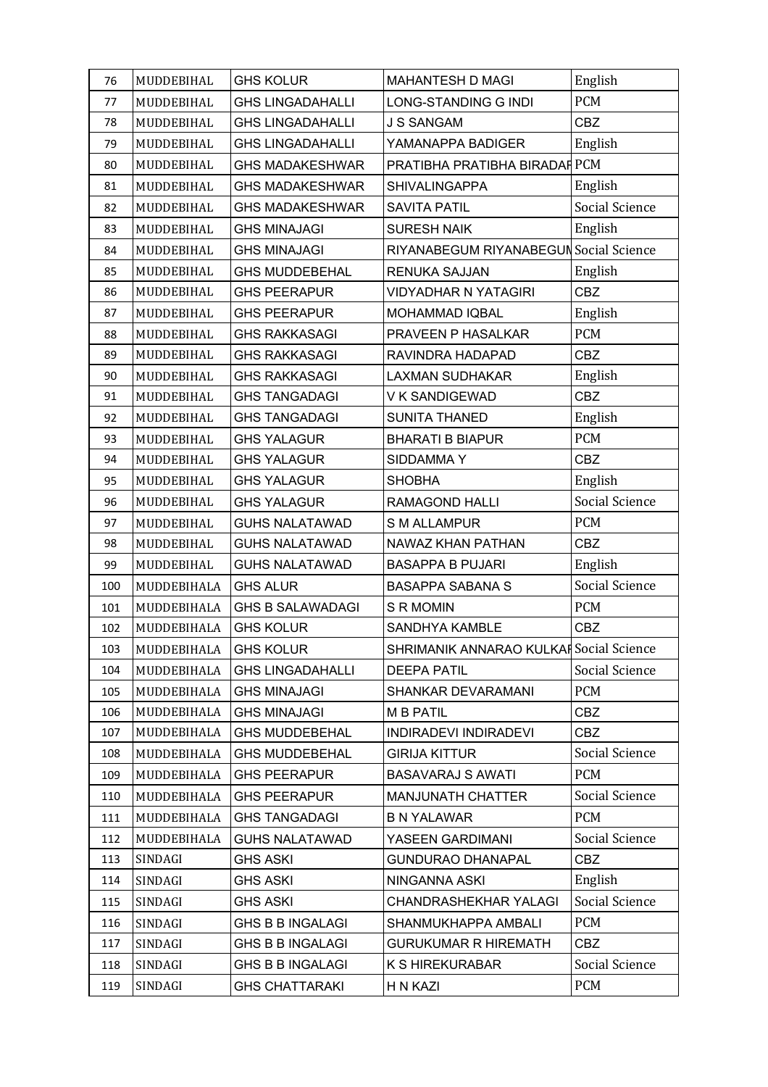| 76  | MUDDEBIHAL  | <b>GHS KOLUR</b>        | <b>MAHANTESH D MAGI</b>                 | English        |
|-----|-------------|-------------------------|-----------------------------------------|----------------|
| 77  | MUDDEBIHAL  | <b>GHS LINGADAHALLI</b> | LONG-STANDING G INDI                    | <b>PCM</b>     |
| 78  | MUDDEBIHAL  | <b>GHS LINGADAHALLI</b> | <b>J S SANGAM</b>                       | <b>CBZ</b>     |
| 79  | MUDDEBIHAL  | <b>GHS LINGADAHALLI</b> | YAMANAPPA BADIGER                       | English        |
| 80  | MUDDEBIHAL  | <b>GHS MADAKESHWAR</b>  | PRATIBHA PRATIBHA BIRADAF PCM           |                |
| 81  | MUDDEBIHAL  | <b>GHS MADAKESHWAR</b>  | <b>SHIVALINGAPPA</b>                    | English        |
| 82  | MUDDEBIHAL  | <b>GHS MADAKESHWAR</b>  | <b>SAVITA PATIL</b>                     | Social Science |
| 83  | MUDDEBIHAL  | <b>GHS MINAJAGI</b>     | <b>SURESH NAIK</b>                      | English        |
| 84  | MUDDEBIHAL  | <b>GHS MINAJAGI</b>     | RIYANABEGUM RIYANABEGUN Social Science  |                |
| 85  | MUDDEBIHAL  | <b>GHS MUDDEBEHAL</b>   | RENUKA SAJJAN                           | English        |
| 86  | MUDDEBIHAL  | <b>GHS PEERAPUR</b>     | <b>VIDYADHAR N YATAGIRI</b>             | <b>CBZ</b>     |
| 87  | MUDDEBIHAL  | <b>GHS PEERAPUR</b>     | <b>MOHAMMAD IQBAL</b>                   | English        |
| 88  | MUDDEBIHAL  | <b>GHS RAKKASAGI</b>    | PRAVEEN P HASALKAR                      | <b>PCM</b>     |
| 89  | MUDDEBIHAL  | <b>GHS RAKKASAGI</b>    | RAVINDRA HADAPAD                        | <b>CBZ</b>     |
| 90  | MUDDEBIHAL  | <b>GHS RAKKASAGI</b>    | <b>LAXMAN SUDHAKAR</b>                  | English        |
| 91  | MUDDEBIHAL  | <b>GHS TANGADAGI</b>    | V K SANDIGEWAD                          | <b>CBZ</b>     |
| 92  | MUDDEBIHAL  | <b>GHS TANGADAGI</b>    | <b>SUNITA THANED</b>                    | English        |
| 93  | MUDDEBIHAL  | <b>GHS YALAGUR</b>      | <b>BHARATI B BIAPUR</b>                 | <b>PCM</b>     |
| 94  | MUDDEBIHAL  | <b>GHS YALAGUR</b>      | SIDDAMMAY                               | <b>CBZ</b>     |
| 95  | MUDDEBIHAL  | <b>GHS YALAGUR</b>      | <b>SHOBHA</b>                           | English        |
| 96  | MUDDEBIHAL  | <b>GHS YALAGUR</b>      | RAMAGOND HALLI                          | Social Science |
| 97  | MUDDEBIHAL  | <b>GUHS NALATAWAD</b>   | <b>S M ALLAMPUR</b>                     | <b>PCM</b>     |
| 98  | MUDDEBIHAL  | <b>GUHS NALATAWAD</b>   | NAWAZ KHAN PATHAN                       | CBZ            |
| 99  | MUDDEBIHAL  | <b>GUHS NALATAWAD</b>   | <b>BASAPPA B PUJARI</b>                 | English        |
| 100 | MUDDEBIHALA | <b>GHS ALUR</b>         | <b>BASAPPA SABANA S</b>                 | Social Science |
| 101 | MUDDEBIHALA | <b>GHS B SALAWADAGI</b> | S R MOMIN                               | <b>PCM</b>     |
| 102 | MUDDEBIHALA | <b>GHS KOLUR</b>        | SANDHYA KAMBLE                          | <b>CBZ</b>     |
| 103 | MUDDEBIHALA | <b>GHS KOLUR</b>        | SHRIMANIK ANNARAO KULKAF Social Science |                |
| 104 | MUDDEBIHALA | <b>GHS LINGADAHALLI</b> | <b>DEEPA PATIL</b>                      | Social Science |
| 105 | MUDDEBIHALA | <b>GHS MINAJAGI</b>     | SHANKAR DEVARAMANI                      | <b>PCM</b>     |
| 106 | MUDDEBIHALA | <b>GHS MINAJAGI</b>     | <b>M B PATIL</b>                        | CBZ            |
| 107 | MUDDEBIHALA | <b>GHS MUDDEBEHAL</b>   | INDIRADEVI INDIRADEVI                   | <b>CBZ</b>     |
| 108 | MUDDEBIHALA | <b>GHS MUDDEBEHAL</b>   | <b>GIRIJA KITTUR</b>                    | Social Science |
| 109 | MUDDEBIHALA | <b>GHS PEERAPUR</b>     | <b>BASAVARAJ S AWATI</b>                | <b>PCM</b>     |
| 110 | MUDDEBIHALA | <b>GHS PEERAPUR</b>     | <b>MANJUNATH CHATTER</b>                | Social Science |
| 111 | MUDDEBIHALA | <b>GHS TANGADAGI</b>    | <b>B N YALAWAR</b>                      | <b>PCM</b>     |
| 112 | MUDDEBIHALA | <b>GUHS NALATAWAD</b>   | YASEEN GARDIMANI                        | Social Science |
| 113 | SINDAGI     | <b>GHS ASKI</b>         | <b>GUNDURAO DHANAPAL</b>                | <b>CBZ</b>     |
| 114 | SINDAGI     | <b>GHS ASKI</b>         | NINGANNA ASKI                           | English        |
| 115 | SINDAGI     | <b>GHS ASKI</b>         | <b>CHANDRASHEKHAR YALAGI</b>            | Social Science |
| 116 | SINDAGI     | <b>GHS B B INGALAGI</b> | SHANMUKHAPPA AMBALI                     | <b>PCM</b>     |
| 117 | SINDAGI     | <b>GHS B B INGALAGI</b> | <b>GURUKUMAR R HIREMATH</b>             | <b>CBZ</b>     |
| 118 | SINDAGI     | <b>GHS B B INGALAGI</b> | <b>K S HIREKURABAR</b>                  | Social Science |
| 119 | SINDAGI     | <b>GHS CHATTARAKI</b>   | H N KAZI                                | <b>PCM</b>     |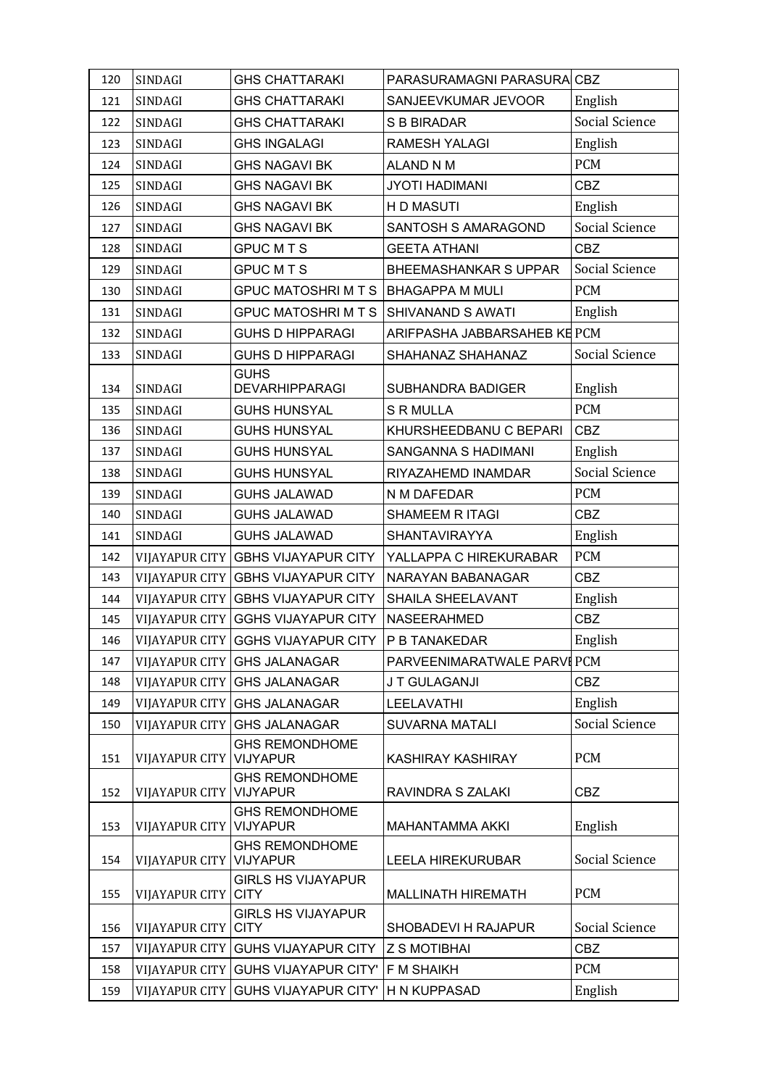| 120 | SINDAGI               | <b>GHS CHATTARAKI</b>                    | PARASURAMAGNI PARASURA CBZ   |                |
|-----|-----------------------|------------------------------------------|------------------------------|----------------|
| 121 | SINDAGI               | <b>GHS CHATTARAKI</b>                    | SANJEEVKUMAR JEVOOR          | English        |
| 122 | SINDAGI               | <b>GHS CHATTARAKI</b>                    | <b>S B BIRADAR</b>           | Social Science |
| 123 | SINDAGI               | <b>GHS INGALAGI</b>                      | <b>RAMESH YALAGI</b>         | English        |
| 124 | SINDAGI               | <b>GHS NAGAVI BK</b>                     | <b>ALAND N M</b>             | <b>PCM</b>     |
| 125 | SINDAGI               | <b>GHS NAGAVI BK</b>                     | <b>JYOTI HADIMANI</b>        | <b>CBZ</b>     |
| 126 | SINDAGI               | <b>GHS NAGAVI BK</b>                     | H D MASUTI                   | English        |
| 127 | SINDAGI               | <b>GHS NAGAVI BK</b>                     | SANTOSH S AMARAGOND          | Social Science |
| 128 | SINDAGI               | <b>GPUC MTS</b>                          | <b>GEETA ATHANI</b>          | <b>CBZ</b>     |
| 129 | SINDAGI               | <b>GPUC MTS</b>                          | <b>BHEEMASHANKAR S UPPAR</b> | Social Science |
| 130 | SINDAGI               | <b>GPUC MATOSHRI M T S</b>               | <b>BHAGAPPA M MULI</b>       | <b>PCM</b>     |
| 131 | SINDAGI               | <b>GPUC MATOSHRI M T S</b>               | SHIVANAND S AWATI            | English        |
| 132 | SINDAGI               | <b>GUHS D HIPPARAGI</b>                  | ARIFPASHA JABBARSAHEB KE PCM |                |
| 133 | SINDAGI               | <b>GUHS D HIPPARAGI</b>                  | SHAHANAZ SHAHANAZ            | Social Science |
|     |                       | <b>GUHS</b>                              |                              |                |
| 134 | SINDAGI               | <b>DEVARHIPPARAGI</b>                    | SUBHANDRA BADIGER            | English        |
| 135 | SINDAGI               | <b>GUHS HUNSYAL</b>                      | <b>S R MULLA</b>             | <b>PCM</b>     |
| 136 | SINDAGI               | <b>GUHS HUNSYAL</b>                      | KHURSHEEDBANU C BEPARI       | <b>CBZ</b>     |
| 137 | SINDAGI               | <b>GUHS HUNSYAL</b>                      | SANGANNA S HADIMANI          | English        |
| 138 | SINDAGI               | <b>GUHS HUNSYAL</b>                      | RIYAZAHEMD INAMDAR           | Social Science |
| 139 | SINDAGI               | <b>GUHS JALAWAD</b>                      | N M DAFEDAR                  | <b>PCM</b>     |
| 140 | SINDAGI               | <b>GUHS JALAWAD</b>                      | SHAMEEM R ITAGI              | <b>CBZ</b>     |
| 141 | SINDAGI               | <b>GUHS JALAWAD</b>                      | SHANTAVIRAYYA                | English        |
| 142 |                       | VIJAYAPUR CITY GBHS VIJAYAPUR CITY       | YALLAPPA C HIREKURABAR       | <b>PCM</b>     |
| 143 | VIJAYAPUR CITY        | <b>GBHS VIJAYAPUR CITY</b>               | NARAYAN BABANAGAR            | <b>CBZ</b>     |
| 144 |                       | VIJAYAPUR CITY GBHS VIJAYAPUR CITY       | SHAILA SHEELAVANT            | English        |
| 145 |                       | VIJAYAPUR CITY GGHS VIJAYAPUR CITY       | NASEERAHMED                  | <b>CBZ</b>     |
| 146 |                       | VIJAYAPUR CITY GGHS VIJAYAPUR CITY       | P B TANAKEDAR                | English        |
| 147 | VIJAYAPUR CITY        | <b>GHS JALANAGAR</b>                     | PARVEENIMARATWALE PARVI PCM  |                |
| 148 | VIJAYAPUR CITY        | <b>GHS JALANAGAR</b>                     | J T GULAGANJI                | <b>CBZ</b>     |
| 149 | <b>VIJAYAPUR CITY</b> | <b>GHS JALANAGAR</b>                     | LEELAVATHI                   | English        |
| 150 | <b>VIJAYAPUR CITY</b> | <b>GHS JALANAGAR</b>                     | <b>SUVARNA MATALI</b>        | Social Science |
| 151 | <b>VIJAYAPUR CITY</b> | <b>GHS REMONDHOME</b><br><b>VIJYAPUR</b> | <b>KASHIRAY KASHIRAY</b>     | <b>PCM</b>     |
| 152 | VIJAYAPUR CITY        | <b>GHS REMONDHOME</b><br><b>VIJYAPUR</b> | RAVINDRA S ZALAKI            | <b>CBZ</b>     |
| 153 | <b>VIJAYAPUR CITY</b> | <b>GHS REMONDHOME</b><br><b>VIJYAPUR</b> | <b>MAHANTAMMA AKKI</b>       | English        |
|     |                       | <b>GHS REMONDHOME</b>                    |                              |                |
| 154 | <b>VIJAYAPUR CITY</b> | <b>VIJYAPUR</b>                          | <b>LEELA HIREKURUBAR</b>     | Social Science |
| 155 | <b>VIJAYAPUR CITY</b> | <b>GIRLS HS VIJAYAPUR</b><br><b>CITY</b> | <b>MALLINATH HIREMATH</b>    | <b>PCM</b>     |
| 156 | <b>VIJAYAPUR CITY</b> | <b>GIRLS HS VIJAYAPUR</b><br><b>CITY</b> | SHOBADEVI H RAJAPUR          | Social Science |
| 157 | <b>VIJAYAPUR CITY</b> | <b>GUHS VIJAYAPUR CITY</b>               | <b>Z S MOTIBHAI</b>          | <b>CBZ</b>     |
| 158 | VIJAYAPUR CITY        | <b>GUHS VIJAYAPUR CITY'</b>              | F M SHAIKH                   | <b>PCM</b>     |
| 159 | <b>VIJAYAPUR CITY</b> | <b>GUHS VIJAYAPUR CITY'</b>              | H N KUPPASAD                 | English        |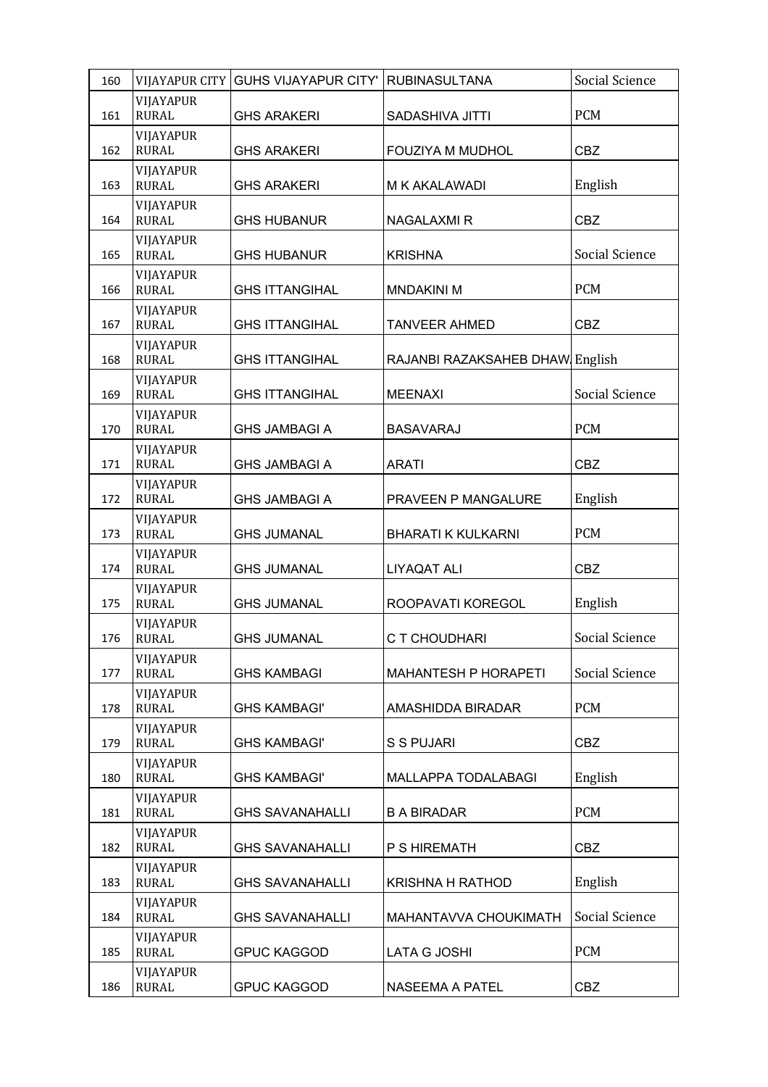| 160 | <b>VIJAYAPUR CITY</b>     | <b>GUHS VIJAYAPUR CITY'</b> | <b>RUBINASULTANA</b>            | Social Science |
|-----|---------------------------|-----------------------------|---------------------------------|----------------|
| 161 | VIJAYAPUR<br><b>RURAL</b> | <b>GHS ARAKERI</b>          | <b>SADASHIVA JITTI</b>          | <b>PCM</b>     |
| 162 | VIJAYAPUR<br><b>RURAL</b> | <b>GHS ARAKERI</b>          | FOUZIYA M MUDHOL                | <b>CBZ</b>     |
| 163 | VIJAYAPUR<br><b>RURAL</b> | <b>GHS ARAKERI</b>          | M K AKALAWADI                   | English        |
| 164 | VIJAYAPUR<br><b>RURAL</b> | <b>GHS HUBANUR</b>          | <b>NAGALAXMI R</b>              | <b>CBZ</b>     |
| 165 | VIJAYAPUR<br><b>RURAL</b> | <b>GHS HUBANUR</b>          | <b>KRISHNA</b>                  | Social Science |
| 166 | VIJAYAPUR<br><b>RURAL</b> | <b>GHS ITTANGIHAL</b>       | <b>MNDAKINI M</b>               | <b>PCM</b>     |
| 167 | VIJAYAPUR<br><b>RURAL</b> | <b>GHS ITTANGIHAL</b>       | <b>TANVEER AHMED</b>            | CBZ            |
| 168 | VIJAYAPUR<br><b>RURAL</b> | <b>GHS ITTANGIHAL</b>       | RAJANBI RAZAKSAHEB DHAW English |                |
| 169 | VIJAYAPUR<br><b>RURAL</b> | <b>GHS ITTANGIHAL</b>       | <b>MEENAXI</b>                  | Social Science |
| 170 | VIJAYAPUR<br><b>RURAL</b> | <b>GHS JAMBAGI A</b>        | <b>BASAVARAJ</b>                | <b>PCM</b>     |
| 171 | VIJAYAPUR<br><b>RURAL</b> | <b>GHS JAMBAGI A</b>        | <b>ARATI</b>                    | CBZ            |
| 172 | VIJAYAPUR<br><b>RURAL</b> | <b>GHS JAMBAGI A</b>        | PRAVEEN P MANGALURE             | English        |
| 173 | VIJAYAPUR<br><b>RURAL</b> | <b>GHS JUMANAL</b>          | <b>BHARATI K KULKARNI</b>       | <b>PCM</b>     |
| 174 | VIJAYAPUR<br><b>RURAL</b> | <b>GHS JUMANAL</b>          | <b>LIYAQAT ALI</b>              | <b>CBZ</b>     |
| 175 | VIJAYAPUR<br><b>RURAL</b> | <b>GHS JUMANAL</b>          | ROOPAVATI KOREGOL               | English        |
| 176 | VIJAYAPUR<br><b>RURAL</b> | <b>GHS JUMANAL</b>          | C T CHOUDHARI                   | Social Science |
| 177 | VIJAYAPUR<br><b>RURAL</b> | <b>GHS KAMBAGI</b>          | <b>MAHANTESH P HORAPETI</b>     | Social Science |
| 178 | VIJAYAPUR<br><b>RURAL</b> | <b>GHS KAMBAGI'</b>         | AMASHIDDA BIRADAR               | <b>PCM</b>     |
| 179 | VIJAYAPUR<br><b>RURAL</b> | <b>GHS KAMBAGI'</b>         | S S PUJARI                      | <b>CBZ</b>     |
| 180 | VIJAYAPUR<br><b>RURAL</b> | <b>GHS KAMBAGI'</b>         | MALLAPPA TODALABAGI             | English        |
| 181 | VIJAYAPUR<br><b>RURAL</b> | <b>GHS SAVANAHALLI</b>      | <b>B A BIRADAR</b>              | <b>PCM</b>     |
| 182 | VIJAYAPUR<br><b>RURAL</b> | <b>GHS SAVANAHALLI</b>      | P S HIREMATH                    | <b>CBZ</b>     |
| 183 | VIJAYAPUR<br><b>RURAL</b> | <b>GHS SAVANAHALLI</b>      | <b>KRISHNA H RATHOD</b>         | English        |
| 184 | VIJAYAPUR<br><b>RURAL</b> | <b>GHS SAVANAHALLI</b>      | MAHANTAVVA CHOUKIMATH           | Social Science |
| 185 | VIJAYAPUR<br><b>RURAL</b> | <b>GPUC KAGGOD</b>          | LATA G JOSHI                    | <b>PCM</b>     |
| 186 | VIJAYAPUR<br><b>RURAL</b> | <b>GPUC KAGGOD</b>          | NASEEMA A PATEL                 | <b>CBZ</b>     |